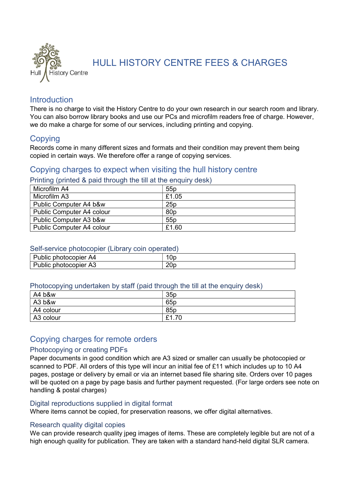

HULL HISTORY CENTRE FEES & CHARGES

# **Introduction**

There is no charge to visit the History Centre to do your own research in our search room and library. You can also borrow library books and use our PCs and microfilm readers free of charge. However, we do make a charge for some of our services, including printing and copying.

# **Copying**

Records come in many different sizes and formats and their condition may prevent them being copied in certain ways. We therefore offer a range of copying services.

# Copying charges to expect when visiting the hull history centre

Printing (printed & paid through the till at the enquiry desk)

| Microfilm A4                     | 55p             |
|----------------------------------|-----------------|
| Microfilm A3                     | £1.05           |
| Public Computer A4 b&w           | 25p             |
| <b>Public Computer A4 colour</b> | 80 <sub>p</sub> |
| Public Computer A3 b&w           | 55p             |
| <b>Public Computer A4 colour</b> | £1.60           |

# Self-service photocopier (Library coin operated)

| Public photocopier<br>∙ A4 | Up  |
|----------------------------|-----|
| Public photocopier<br>A3   | 20c |

# Photocopying undertaken by staff (paid through the till at the enquiry desk)

| A4 b&w    | 35p             |
|-----------|-----------------|
| A3 b&w    | 65 <sub>p</sub> |
| A4 colour | 85 <sub>p</sub> |
| A3 colour | £1.70           |

# Copying charges for remote orders

# Photocopying or creating PDFs

Paper documents in good condition which are A3 sized or smaller can usually be photocopied or scanned to PDF. All orders of this type will incur an initial fee of £11 which includes up to 10 A4 pages, postage or delivery by email or via an internet based file sharing site. Orders over 10 pages will be quoted on a page by page basis and further payment requested. (For large orders see note on handling & postal charges)

# Digital reproductions supplied in digital format

Where items cannot be copied, for preservation reasons, we offer digital alternatives.

# Research quality digital copies

We can provide research quality jpeg images of items. These are completely legible but are not of a high enough quality for publication. They are taken with a standard hand-held digital SLR camera.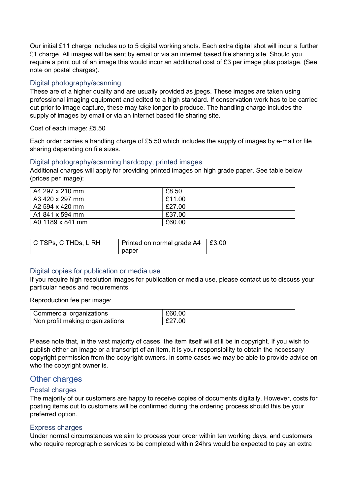Our initial £11 charge includes up to 5 digital working shots. Each extra digital shot will incur a further £1 charge. All images will be sent by email or via an internet based file sharing site. Should you require a print out of an image this would incur an additional cost of £3 per image plus postage. (See note on postal charges).

### Digital photography/scanning

These are of a higher quality and are usually provided as jpegs. These images are taken using professional imaging equipment and edited to a high standard. If conservation work has to be carried out prior to image capture, these may take longer to produce. The handling charge includes the supply of images by email or via an internet based file sharing site.

Cost of each image: £5.50

Each order carries a handling charge of £5.50 which includes the supply of images by e-mail or file sharing depending on file sizes.

#### Digital photography/scanning hardcopy, printed images

Additional charges will apply for providing printed images on high grade paper. See table below (prices per image):

| A4 297 x 210 mm   | £8.50  |
|-------------------|--------|
| A3 420 x 297 mm   | £11.00 |
| A2 594 x 420 mm   | £27.00 |
| . A1 841 x 594 mm | £37.00 |
| A0 1189 x 841 mm  | £60.00 |

| C TSPs, C THDs, L RH | Printed on normal grade $A4 \mid £3.00$ |  |
|----------------------|-----------------------------------------|--|
|                      | paper                                   |  |

# Digital copies for publication or media use

If you require high resolution images for publication or media use, please contact us to discuss your particular needs and requirements.

Reproduction fee per image:

| , Commercial organizations      | £60.00 |
|---------------------------------|--------|
| Non profit making organizations |        |

Please note that, in the vast majority of cases, the item itself will still be in copyright. If you wish to publish either an image or a transcript of an item, it is your responsibility to obtain the necessary copyright permission from the copyright owners. In some cases we may be able to provide advice on who the copyright owner is.

# Other charges

# Postal charges

The majority of our customers are happy to receive copies of documents digitally. However, costs for posting items out to customers will be confirmed during the ordering process should this be your preferred option.

#### Express charges

Under normal circumstances we aim to process your order within ten working days, and customers who require reprographic services to be completed within 24hrs would be expected to pay an extra